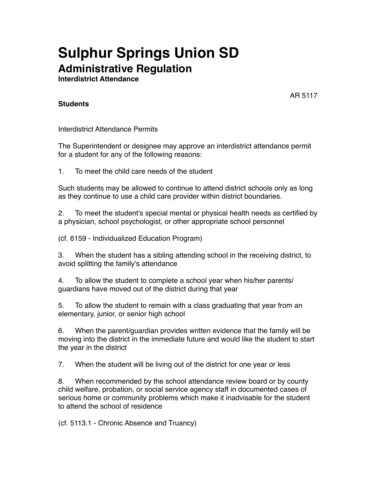## **Sulphur Springs Union SD Administrative Regulation**

**Interdistrict Attendance**

AR 5117

## **Students**

Interdistrict Attendance Permits

The Superintendent or designee may approve an interdistrict attendance permit for a student for any of the following reasons:

1. To meet the child care needs of the student

Such students may be allowed to continue to attend district schools only as long as they continue to use a child care provider within district boundaries.

2. To meet the student's special mental or physical health needs as certified by a physician, school psychologist, or other appropriate school personnel

(cf. 6159 - Individualized Education Program)

3. When the student has a sibling attending school in the receiving district, to avoid splitting the family's attendance

4. To allow the student to complete a school year when his/her parents/ guardians have moved out of the district during that year

5. To allow the student to remain with a class graduating that year from an elementary, junior, or senior high school

6. When the parent/guardian provides written evidence that the family will be moving into the district in the immediate future and would like the student to start the year in the district

7. When the student will be living out of the district for one year or less

8. When recommended by the school attendance review board or by county child welfare, probation, or social service agency staff in documented cases of serious home or community problems which make it inadvisable for the student to attend the school of residence

(cf. 5113.1 - Chronic Absence and Truancy)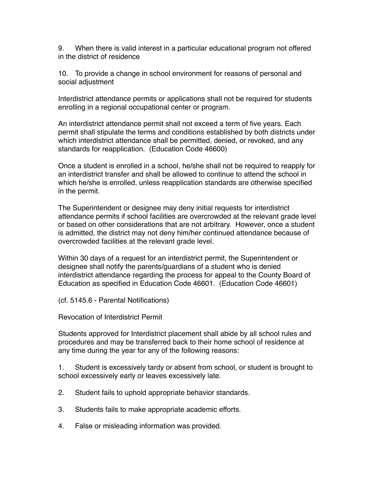9. When there is valid interest in a particular educational program not offered in the district of residence

10. To provide a change in school environment for reasons of personal and social adjustment

Interdistrict attendance permits or applications shall not be required for students enrolling in a regional occupational center or program.

An interdistrict attendance permit shall not exceed a term of five years. Each permit shall stipulate the terms and conditions established by both districts under which interdistrict attendance shall be permitted, denied, or revoked, and any standards for reapplication. (Education Code 46600)

Once a student is enrolled in a school, he/she shall not be required to reapply for an interdistrict transfer and shall be allowed to continue to attend the school in which he/she is enrolled, unless reapplication standards are otherwise specified in the permit.

The Superintendent or designee may deny initial requests for interdistrict attendance permits if school facilities are overcrowded at the relevant grade level or based on other considerations that are not arbitrary. However, once a student is admitted, the district may not deny him/her continued attendance because of overcrowded facilities at the relevant grade level.

Within 30 days of a request for an interdistrict permit, the Superintendent or designee shall notify the parents/guardians of a student who is denied interdistrict attendance regarding the process for appeal to the County Board of Education as specified in Education Code 46601. (Education Code 46601)

(cf. 5145.6 - Parental Notifications)

Revocation of Interdistrict Permit

Students approved for Interdistrict placement shall abide by all school rules and procedures and may be transferred back to their home school of residence at any time during the year for any of the following reasons:

1. Student is excessively tardy or absent from school, or student is brought to school excessively early or leaves excessively late.

- 2. Student fails to uphold appropriate behavior standards.
- 3. Students fails to make appropriate academic efforts.
- 4. False or misleading information was provided.